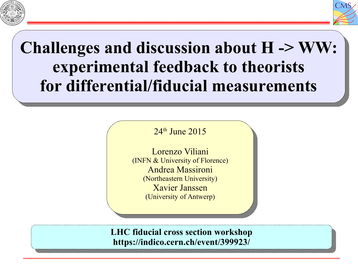



## **Challenges and discussion about H -> WW: experimental feedback to theorists for differential/fiducial measurements Challenges and discussion about H -> WW: for differential/fiducial measurements**

 $4^{\circ}$  June 2015 24<sup>th</sup> June 2015

Lorenzo Viliani  $(IVIFY \alpha)$  University of Florence) Andrea Massironi (Northeastern University) Xavier Janssen (University of Antwerp) Lorenzo Viliani (INFN & University of Florence) Andrea Massironi (Northeastern University) Xavier Janssen (University of Antwerp)

**LHC fiducial cross section workshop https://indico.cern.ch/event/399923/ LHC fiducial cross section workshop https://indico.cern.ch/event/399923/**